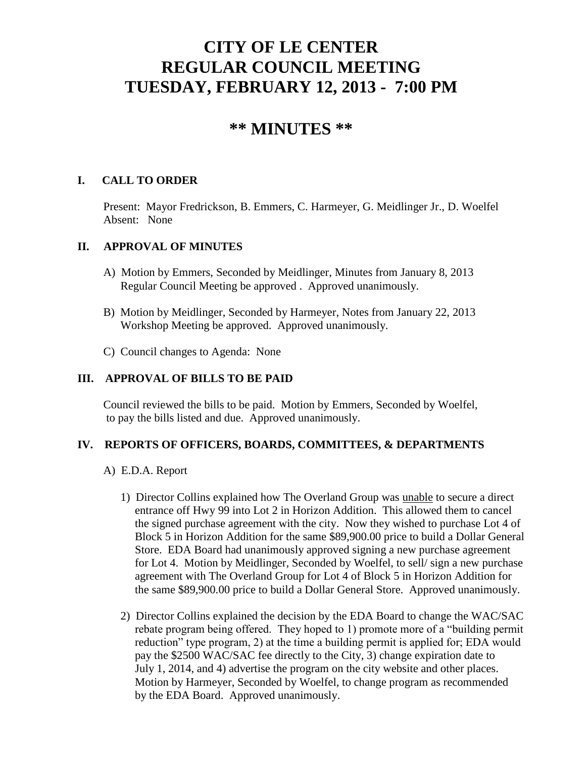# **CITY OF LE CENTER REGULAR COUNCIL MEETING TUESDAY, FEBRUARY 12, 2013 - 7:00 PM**

# **\*\* MINUTES \*\***

### **I. CALL TO ORDER**

Present: Mayor Fredrickson, B. Emmers, C. Harmeyer, G. Meidlinger Jr., D. Woelfel Absent: None

#### **II. APPROVAL OF MINUTES**

- A) Motion by Emmers, Seconded by Meidlinger, Minutes from January 8, 2013 Regular Council Meeting be approved . Approved unanimously.
- B) Motion by Meidlinger, Seconded by Harmeyer, Notes from January 22, 2013 Workshop Meeting be approved. Approved unanimously.
- C) Council changes to Agenda: None

### **III. APPROVAL OF BILLS TO BE PAID**

Council reviewed the bills to be paid. Motion by Emmers, Seconded by Woelfel, to pay the bills listed and due. Approved unanimously.

#### **IV. REPORTS OF OFFICERS, BOARDS, COMMITTEES, & DEPARTMENTS**

- A) E.D.A. Report
	- 1) Director Collins explained how The Overland Group was unable to secure a direct entrance off Hwy 99 into Lot 2 in Horizon Addition. This allowed them to cancel the signed purchase agreement with the city. Now they wished to purchase Lot 4 of Block 5 in Horizon Addition for the same \$89,900.00 price to build a Dollar General Store. EDA Board had unanimously approved signing a new purchase agreement for Lot 4. Motion by Meidlinger, Seconded by Woelfel, to sell/ sign a new purchase agreement with The Overland Group for Lot 4 of Block 5 in Horizon Addition for the same \$89,900.00 price to build a Dollar General Store. Approved unanimously.
	- 2) Director Collins explained the decision by the EDA Board to change the WAC/SAC rebate program being offered. They hoped to 1) promote more of a "building permit reduction" type program, 2) at the time a building permit is applied for; EDA would pay the \$2500 WAC/SAC fee directly to the City, 3) change expiration date to July 1, 2014, and 4) advertise the program on the city website and other places. Motion by Harmeyer, Seconded by Woelfel, to change program as recommended by the EDA Board. Approved unanimously.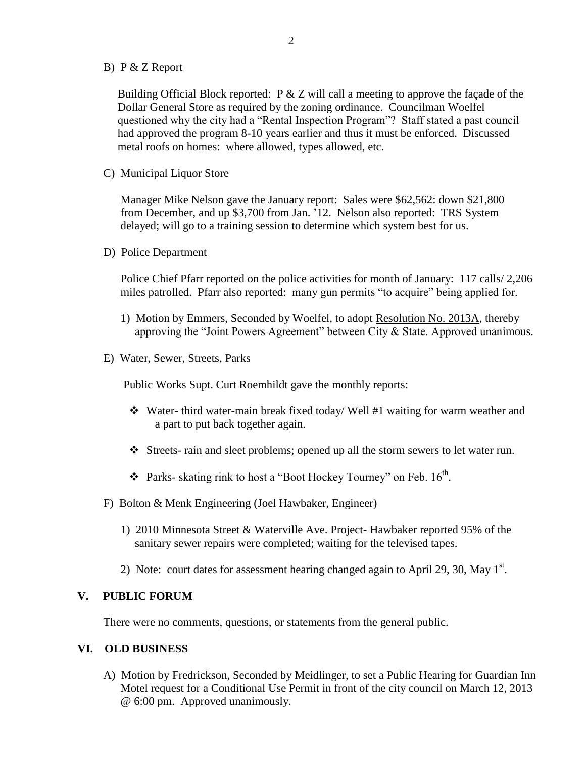B) P & Z Report

 Building Official Block reported: P & Z will call a meeting to approve the façade of the Dollar General Store as required by the zoning ordinance. Councilman Woelfel questioned why the city had a "Rental Inspection Program"? Staff stated a past council had approved the program 8-10 years earlier and thus it must be enforced. Discussed metal roofs on homes: where allowed, types allowed, etc.

C) Municipal Liquor Store

Manager Mike Nelson gave the January report: Sales were \$62,562: down \$21,800 from December, and up \$3,700 from Jan. '12. Nelson also reported: TRS System delayed; will go to a training session to determine which system best for us.

D) Police Department

Police Chief Pfarr reported on the police activities for month of January: 117 calls/ 2,206 miles patrolled. Pfarr also reported: many gun permits "to acquire" being applied for.

- 1) Motion by Emmers, Seconded by Woelfel, to adopt Resolution No. 2013A, thereby approving the "Joint Powers Agreement" between City & State. Approved unanimous.
- E) Water, Sewer, Streets, Parks

Public Works Supt. Curt Roemhildt gave the monthly reports:

- Water- third water-main break fixed today/ Well #1 waiting for warm weather and a part to put back together again.
- Streets- rain and sleet problems; opened up all the storm sewers to let water run.
- $\cdot$  Parks- skating rink to host a "Boot Hockey Tourney" on Feb. 16<sup>th</sup>.
- F) Bolton & Menk Engineering (Joel Hawbaker, Engineer)
	- 1) 2010 Minnesota Street & Waterville Ave. Project- Hawbaker reported 95% of the sanitary sewer repairs were completed; waiting for the televised tapes.
- 2) Note: court dates for assessment hearing changed again to April 29, 30, May  $1<sup>st</sup>$ .

#### **V. PUBLIC FORUM**

There were no comments, questions, or statements from the general public.

### **VI. OLD BUSINESS**

A) Motion by Fredrickson, Seconded by Meidlinger, to set a Public Hearing for Guardian Inn Motel request for a Conditional Use Permit in front of the city council on March 12, 2013 @ 6:00 pm. Approved unanimously.